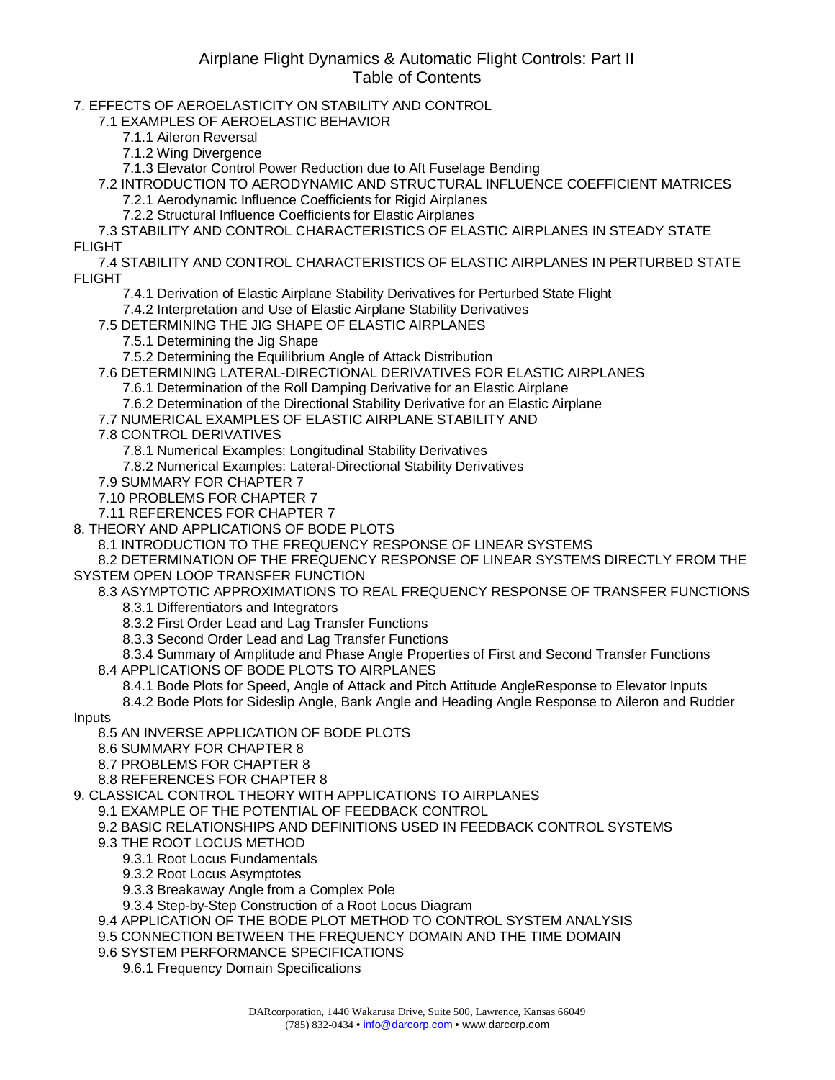## Airplane Flight Dynamics & Automatic Flight Controls: Part II Table of Contents

7. EFFECTS OF AEROELASTICITY ON STABILITY AND CONTROL

7.1 EXAMPLES OF AEROELASTIC BEHAVIOR

- 7.1.1 Aileron Reversal
- 7.1.2 Wing Divergence

7.1.3 Elevator Control Power Reduction due to Aft Fuselage Bending

7.2 INTRODUCTION TO AERODYNAMIC AND STRUCTURAL INFLUENCE COEFFICIENT MATRICES 7.2.1 Aerodynamic Influence Coefficients for Rigid Airplanes

7.2.2 Structural Influence Coefficients for Elastic Airplanes

7.3 STABILITY AND CONTROL CHARACTERISTICS OF ELASTIC AIRPLANES IN STEADY STATE FLIGHT

7.4 STABILITY AND CONTROL CHARACTERISTICS OF ELASTIC AIRPLANES IN PERTURBED STATE FLIGHT

- 7.4.1 Derivation of Elastic Airplane Stability Derivatives for Perturbed State Flight
- 7.4.2 Interpretation and Use of Elastic Airplane Stability Derivatives
- 7.5 DETERMINING THE JIG SHAPE OF ELASTIC AIRPLANES
	- 7.5.1 Determining the Jig Shape
	- 7.5.2 Determining the Equilibrium Angle of Attack Distribution
- 7.6 DETERMINING LATERAL-DIRECTIONAL DERIVATIVES FOR ELASTIC AIRPLANES
	- 7.6.1 Determination of the Roll Damping Derivative for an Elastic Airplane
	- 7.6.2 Determination of the Directional Stability Derivative for an Elastic Airplane
- 7.7 NUMERICAL EXAMPLES OF ELASTIC AIRPLANE STABILITY AND
- 7.8 CONTROL DERIVATIVES
	- 7.8.1 Numerical Examples: Longitudinal Stability Derivatives
	- 7.8.2 Numerical Examples: Lateral-Directional Stability Derivatives
- 7.9 SUMMARY FOR CHAPTER 7
- 7.10 PROBLEMS FOR CHAPTER 7
- 7.11 REFERENCES FOR CHAPTER 7
- 8. THEORY AND APPLICATIONS OF BODE PLOTS
	- 8.1 INTRODUCTION TO THE FREQUENCY RESPONSE OF LINEAR SYSTEMS

8.2 DETERMINATION OF THE FREQUENCY RESPONSE OF LINEAR SYSTEMS DIRECTLY FROM THE SYSTEM OPEN LOOP TRANSFER FUNCTION

8.3 ASYMPTOTIC APPROXIMATIONS TO REAL FREQUENCY RESPONSE OF TRANSFER FUNCTIONS

- 8.3.1 Differentiators and Integrators
- 8.3.2 First Order Lead and Lag Transfer Functions
- 8.3.3 Second Order Lead and Lag Transfer Functions
- 8.3.4 Summary of Amplitude and Phase Angle Properties of First and Second Transfer Functions 8.4 APPLICATIONS OF BODE PLOTS TO AIRPLANES
- - 8.4.1 Bode Plots for Speed, Angle of Attack and Pitch Attitude AngleResponse to Elevator Inputs
- 8.4.2 Bode Plots for Sideslip Angle, Bank Angle and Heading Angle Response to Aileron and Rudder
- Inputs
	- 8.5 AN INVERSE APPLICATION OF BODE PLOTS
	- 8.6 SUMMARY FOR CHAPTER 8
	- 8.7 PROBLEMS FOR CHAPTER 8
	- 8.8 REFERENCES FOR CHAPTER 8
- 9. CLASSICAL CONTROL THEORY WITH APPLICATIONS TO AIRPLANES
	- 9.1 EXAMPLE OF THE POTENTIAL OF FEEDBACK CONTROL
	- 9.2 BASIC RELATIONSHIPS AND DEFINITIONS USED IN FEEDBACK CONTROL SYSTEMS
	- 9.3 THE ROOT LOCUS METHOD
		- 9.3.1 Root Locus Fundamentals
		- 9.3.2 Root Locus Asymptotes
		- 9.3.3 Breakaway Angle from a Complex Pole
		- 9.3.4 Step-by-Step Construction of a Root Locus Diagram
	- 9.4 APPLICATION OF THE BODE PLOT METHOD TO CONTROL SYSTEM ANALYSIS
	- 9.5 CONNECTION BETWEEN THE FREQUENCY DOMAIN AND THE TIME DOMAIN
	- 9.6 SYSTEM PERFORMANCE SPECIFICATIONS
		- 9.6.1 Frequency Domain Specifications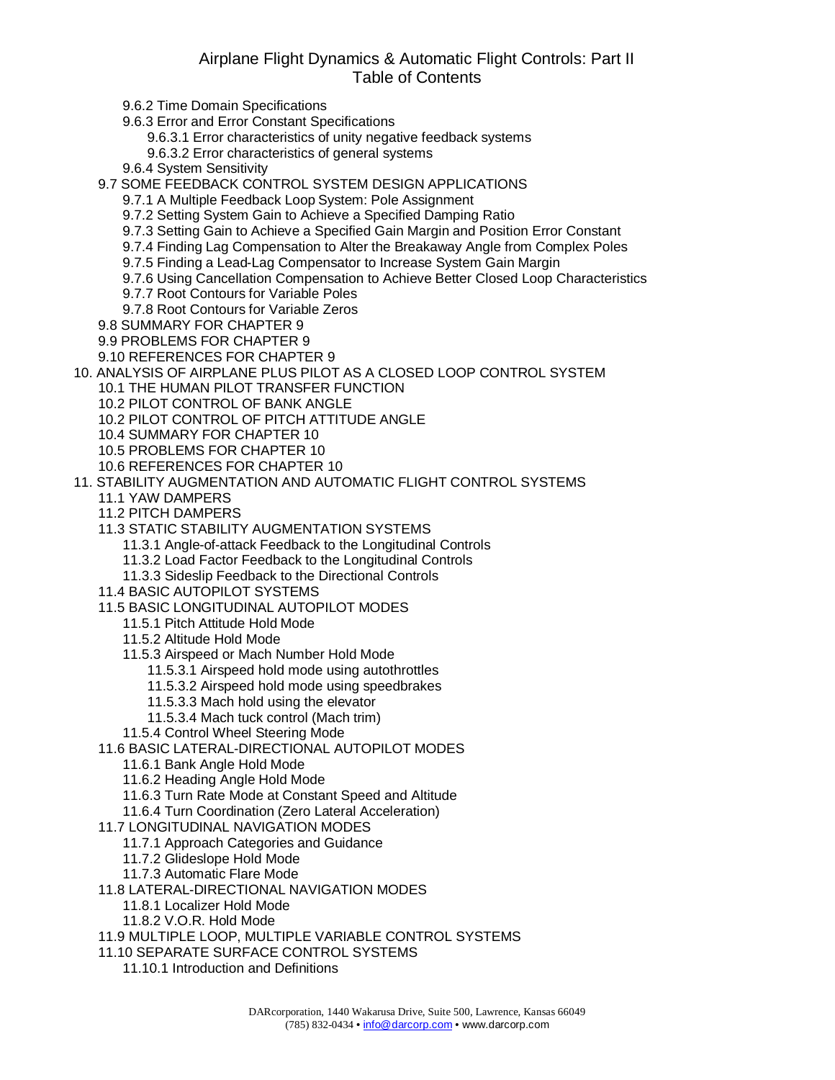## Airplane Flight Dynamics & Automatic Flight Controls: Part II Table of Contents

9.6.2 Time Domain Specifications 9.6.3 Error and Error Constant Specifications 9.6.3.1 Error characteristics of unity negative feedback systems 9.6.3.2 Error characteristics of general systems 9.6.4 System Sensitivity 9.7 SOME FEEDBACK CONTROL SYSTEM DESIGN APPLICATIONS 9.7.1 A Multiple Feedback Loop System: Pole Assignment 9.7.2 Setting System Gain to Achieve a Specified Damping Ratio 9.7.3 Setting Gain to Achieve a Specified Gain Margin and Position Error Constant 9.7.4 Finding Lag Compensation to Alter the Breakaway Angle from Complex Poles 9.7.5 Finding a Lead-Lag Compensator to Increase System Gain Margin 9.7.6 Using Cancellation Compensation to Achieve Better Closed Loop Characteristics 9.7.7 Root Contours for Variable Poles 9.7.8 Root Contours for Variable Zeros 9.8 SUMMARY FOR CHAPTER 9 9.9 PROBLEMS FOR CHAPTER 9 9.10 REFERENCES FOR CHAPTER 9 10. ANALYSIS OF AIRPLANE PLUS PILOT AS A CLOSED LOOP CONTROL SYSTEM 10.1 THE HUMAN PILOT TRANSFER FUNCTION 10.2 PILOT CONTROL OF BANK ANGLE 10.2 PILOT CONTROL OF PITCH ATTITUDE ANGLE 10.4 SUMMARY FOR CHAPTER 10 10.5 PROBLEMS FOR CHAPTER 10 10.6 REFERENCES FOR CHAPTER 10 11. STABILITY AUGMENTATION AND AUTOMATIC FLIGHT CONTROL SYSTEMS 11.1 YAW DAMPERS 11.2 PITCH DAMPERS 11.3 STATIC STABILITY AUGMENTATION SYSTEMS 11.3.1 Angle-of-attack Feedback to the Longitudinal Controls 11.3.2 Load Factor Feedback to the Longitudinal Controls 11.3.3 Sideslip Feedback to the Directional Controls 11.4 BASIC AUTOPILOT SYSTEMS 11.5 BASIC LONGITUDINAL AUTOPILOT MODES 11.5.1 Pitch Attitude Hold Mode 11.5.2 Altitude Hold Mode 11.5.3 Airspeed or Mach Number Hold Mode 11.5.3.1 Airspeed hold mode using autothrottles 11.5.3.2 Airspeed hold mode using speedbrakes 11.5.3.3 Mach hold using the elevator 11.5.3.4 Mach tuck control (Mach trim) 11.5.4 Control Wheel Steering Mode 11.6 BASIC LATERAL-DIRECTIONAL AUTOPILOT MODES 11.6.1 Bank Angle Hold Mode 11.6.2 Heading Angle Hold Mode 11.6.3 Turn Rate Mode at Constant Speed and Altitude 11.6.4 Turn Coordination (Zero Lateral Acceleration) 11.7 LONGITUDINAL NAVIGATION MODES 11.7.1 Approach Categories and Guidance 11.7.2 Glideslope Hold Mode 11.7.3 Automatic Flare Mode 11.8 LATERAL-DIRECTIONAL NAVIGATION MODES 11.8.1 Localizer Hold Mode 11.8.2 V.O.R. Hold Mode 11.9 MULTIPLE LOOP, MULTIPLE VARIABLE CONTROL SYSTEMS 11.10 SEPARATE SURFACE CONTROL SYSTEMS 11.10.1 Introduction and Definitions